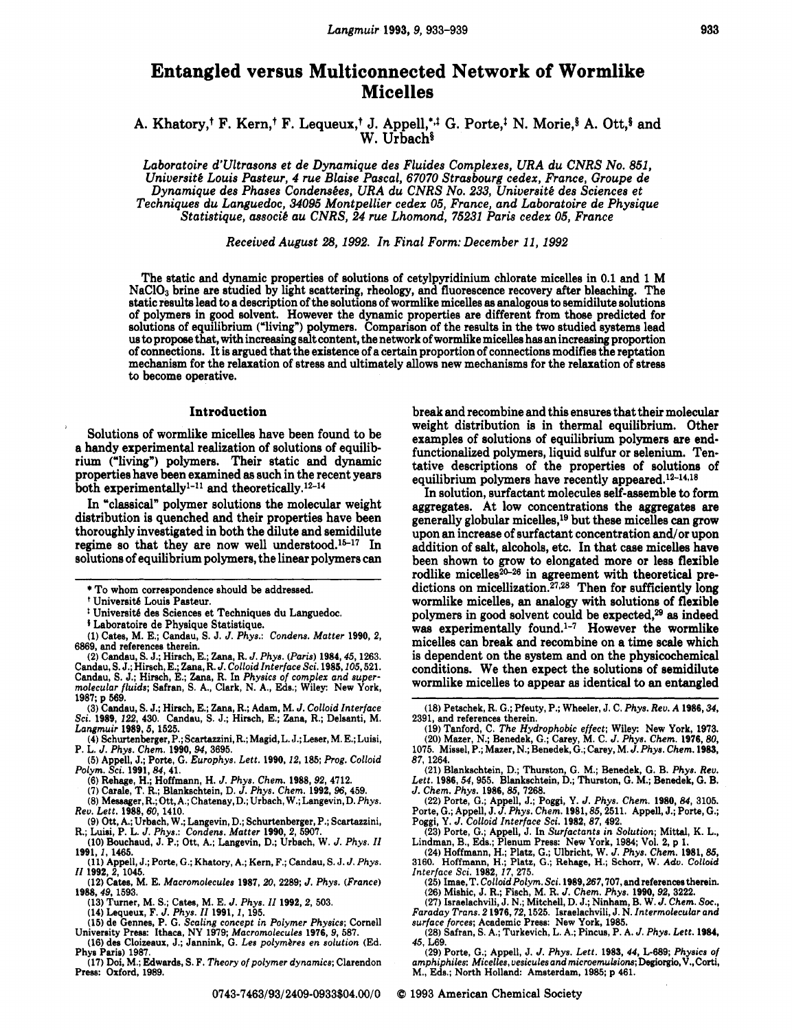# **Entangled versus Multiconnected Network of Wormlike Micelles**

A. Khatory,<sup>†</sup> F. Kern,<sup>†</sup> F. Lequeux,<sup>†</sup> J. Appell,<sup>\*,†</sup> G. Porte,<sup>†</sup> N. Morie,<sup>§</sup> A. Ott,<sup>§</sup> and W. Urbach<sup>§</sup>

*Laboratoire d'Ultrasona et de Dynamique des Fluides Complexes, URA du CNRS No. 851, Universit6 Louis Pasteur, 4 rue Blaise Pascal, 67070 Strasbourg cedex, France, Groupe de*  Dynamique des Phases Condensées, URA du CNRS No. 233, Université des Sciences et *Techniques du Languedoc,* **34095** *Montpellier cedex 05, France, and Laboratoire de Physique Statistique, associ6 au CNRS, 24 rue Lhomond, 75231 Paris cedex 05, France* 

*Received August 28,1992. In Final Form: December 11,1992* 

The static and dynamic properties of solutions of cetylpyridinium chlorate micelles in 0.1 and 1 **M**  NaC103 brine are studied by light scattering, rheology, and fluorescence recovery after bleaching. The static results lead to a description of the Solutions of wormlike micelles **as** analogous to semidilute solutions of polymers in good solvent. However the dynamic properties are different from those predicted for solutions of equilibrium ("living") polymers. Comparison of the results in the two studied systems lead us to propose that, with increasing salt content, the network of wormlike micelles has an increasing proportion<br>of connections. It is argued that the existence of a certain proportion of connections modifies the reptation<br> to become operative.

### **Introduction**

Solutions of wormlike micelles have been found to be a handy experimental realization of solutions of equilibrium ('living") polymers. Their static and dynamic properties have been examined **as** such in the recent years both experimentally $^{1-11}$  and theoretically. $^{12-14}$ 

In "classical" polymer solutions the molecular weight distribution is quenched and their properties have been thoroughly investigated in both the dilute and semidilute regime so that they are now well understood.<sup>15-17</sup> In solutions of equilibrium polymers, the linear polymers can

'

**f** Laboratoire de Physique Statistique.

- **(3)** Candau, **S.** J.; Hirsch, E.; Zana, R.; Adam, M. J. *Colloid Interface Sci.* **1989, 122, 430.** Candau, **S.** J.; Hirsch, E.; Zana, R.; Delsanti, M. *Langmuir* **1989,5, 1525.**
- **(4)** Schurtenberrcer. P.: Scartazzini, **R.;** Maaid. L. J.: Leser, **M.** E.: Luisi. P. L. J. Phvs. *Chek.* **.1960. 94. 3695.** -
- **(5)** Appe-11, J.; Porte, *G.Europhys. Lett.* **1990,12, 185;** *Prog. Colloid Polym. Sci.* **1991,84,41.** 
	- **(6)** Rehage, H.; Hoffmann, H. J. *Phys. Chem.* **1988,92, 4712. (7)** Carale, T. **R.;** Blankschtein, D. *J. Phys. Chem.* **1992, 96, 459.**

- (8) Messager, R.; Ott, A.; Chatenay, D.; Urbach, W.; Langevin, D. Phys. *Rev. Lett.* **lh3,** *60,* **i4io.**
- **R.;** Luisi, P. L. J. *Phys.: Condens. Matter* **1990,2,5907. (9)** Ott, A.; Urbach, W.; Langevin, D.; Schurtenberger, P.; Scartazzini,
- **(10)** Bouchaud, J. P.; Ott, A.; Langevin, D.; Urbach, W. *J. Phys. I1*  **1991, 1, 1465.**
- *I1* **1992,2, 1045. (11)** Appell, **J.;** Porte, G.; Khatory, A.; Kern, **F.;** Candau, *S.* J. J. *Phys.*
- **(12)** Cates, M. E. *Macromolecules* **1987.20, 2289:** *J. Phys. (France)*  **1988,49, 1593.** 
	-
	-
- 1966, 49, 1969, 1976, 1986, 1987, 1992, 1992, 1992, 2, 503.<br>
(13) Turner, M. S.; Cates, M. E. J. Phys. II 1992, 2, 503.<br>
(14) Lequeux, F. J. Phys. II 1991, 1, 195.<br>
(15) de Gennes, P. G. Scaling concept in Polymer Physics;
- (16) des Cloizeaux, J.; Jannink, G. Les polymères en solution (Ed. Phys Paris) **1987.**
- **(17)** Doi, M.; Edwards, *S.* F. *Theory ofpolymer dynamics;* Clarendon Press: Oxford, 1989.

0743-7463/93/2409-0933\$04.00/0

break and recombine and this ensures that their molecular weight distribution is in thermal equilibrium. Other examples of solutions of equilibrium polymers are endfunctionalized polymers, liquid sulfur or selenium. Tentative descriptions of the properties of solutions of equilibrium polymers have recently appeared.<sup>12-14,18</sup>

In solution, surfactant molecules self-assemble to form aggregates. At low concentrations the aggregates are generally globular micelles,l9 but these micelles *can* grow upon an increase of surfactant concentration and/or upon addition of salt, alcohols, etc. In that case micelles have been shown to grow to elongated more or less flexible rodlike micelles<sup>20-26</sup> in agreement with theoretical predictions on micellization.<sup>27,28</sup> Then for sufficiently long wormlike micelles, an analogy with solutions of flexible polymers in good solvent could be expected,29 **as** indeed was experimentally found.<sup>1-7</sup> However the wormlike micelles can break and recombine on a time scale which is dependent on the system and on the physicochemical conditions. We then expect the solutions of semidilute wormlike micelles to appear **as** identical to an entangled

- **(21)** Blankschtein, D.; Thurston, **G.** M.; Benedek, **G.** B. *Phys. Rev. Lett.* **1986,54,955.** Blankschtein, D.; Thurston, **G.** M.; Benedek, **G.** B.
- *J. Chem.* Phys. **1986,85, 7268.**  (22) Porte, *G.*; Appell, J.; Poggi, Y. *J. Phys. Chem.* **1980**, 84, 3105.<br>
(22) Porte, G.; Appell, J.; Poggi, Y. *J. Phys. Chem.* **1980**, 84, 3105.<br>
Porte. G.; Appell, J.J. *Phys. Chem.* **1983**, 87, 2511. Appell, J.; Port

Poggi, *Y. J. Colloid Interface Sci.* **1982**, 87, 492. **(23)** Porte, **G.;** Appell, J. In *Surfactants in Solution;* Mittal, K. L.,

Lindman, B., Eds.; Plenum Press: New York, 1984; Vol. 2, p 1.<br>(24) Hoffmann, H.; Platz, G.; Ulbricht, W. J. Phys. Chem. 1981, 85,<br>3160. Hoffmann, H.; Platz, G.; Rehage, H.; Schorr, W. Adv. Colloid *Interface Sci.* **1982, 17, 275.** 

- **(25)** Imae, **T.** *Colloid Polym. Sci.* **1989,267,707,** and references therein. **(26)** Mishic, J. **R.;** Fisch, M. R. *J. Chem. Phys.* **1990, 92, 3222.**
- **(27)** Israelachvili. J. N.; Mitchell, D. J.; Ninham, B. W. *J. Chem. Soc., Faraday Trans.* **2 1976,72,1525.** Israelachvili, J. N. *Intermolecular* and
- *surface forces;* Academic Press: New York, **1985. (28)** Safran, **S.** A,; Turkevich, L. A.; Pincus, P. A. *J. Phys. Lett.* **1984, 45, L69.**
- **(29)** Porte, **G.;** Appell, J. J. *Phys. Lett.* **1989, 44,** L-689; *Physics of amphiphiles: Micelles, uesicules and* **microemulsions;Degiorgio,V.,Corti,**  M., Eds.; North Holland: Amsterdam, 1985; p 461.

*0* **1993** American Chemical Society

<sup>~~~~~~ ~~ ~~~</sup>  \* To whom correspondence should be addressed.

<sup>&</sup>lt;sup>†</sup> Université Louis Pasteur.

<sup>&</sup>lt;sup>†</sup> Université des Sciences et Techniques du Languedoc.

**<sup>(1)</sup>** Cates, **M.** E.; Candau, *S.* J. J. *Phys.: Condens. Matter* **1990, 2, 6869,** and references therein.

**<sup>(2)</sup>** Candau, **S.** J.; Hirsch, E.; Zana, R. J. *Phys. (Paris)* **1984,45,1263.**  (2) Candau, S. J.; Hirsch, E.; Zana, R. J. Colloid Interface Sci. 1985, 105, 521.<br>Candau, S. J.; Hirsch, E.; Zana, R. J. Colloid Interface Sci. 1985, 105, 521.<br>Candau, S. J.; Hirsch, E.; Zana, R. In Physics of complex and **1987;** p **569.** 

<sup>(18)</sup> Petschek, R. **G.;** Pfeuty, P.; Wheeler, J. C. *Phys. Rev. A* **1986,34, 2391,** and references therein.

**<sup>(19)</sup>** Tanford, C. The *Hydrophobic effect;* Wiley: New York, **1973. (20)** Mazer, N.; Benedek, **G.;** Carey, **M.** C. J. *Phys. Chem.* **1976,80, 1075.** Missel, P.; Mazer, **N.;** Benedek, **G.;** Carey, M. J. *Phys. Chem.* **1983,**  *87***, 1264.**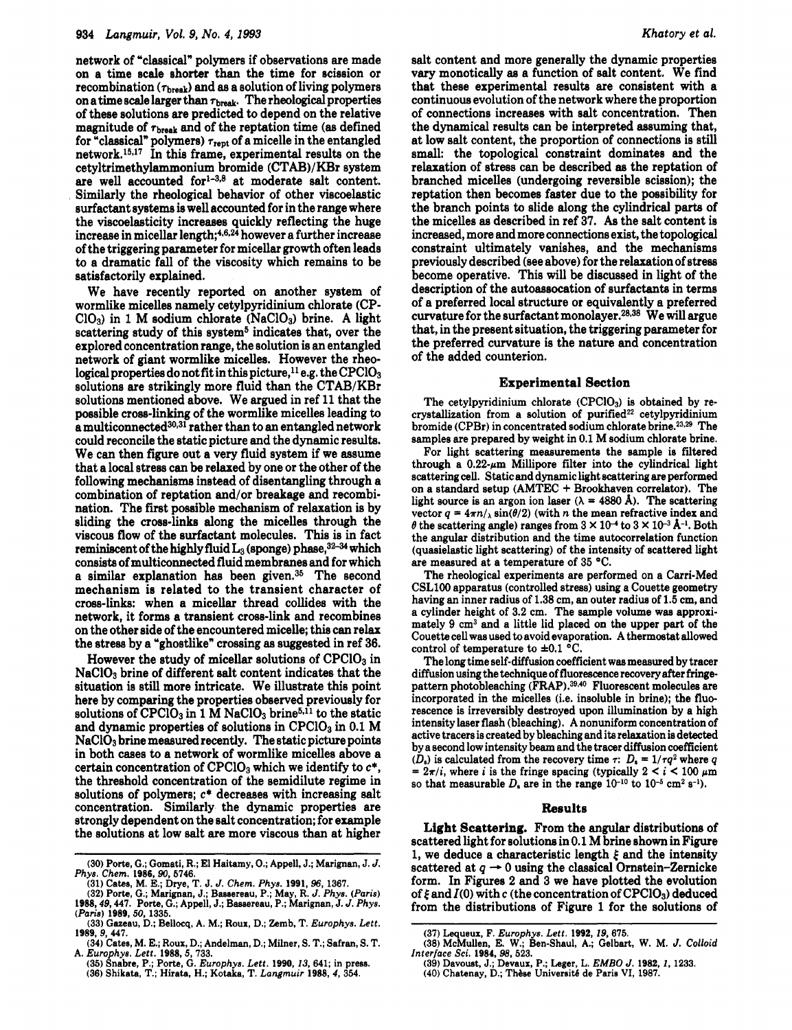network of "classical" polymers if observations are made on a time scale shorter than the time for scission or  $recombination (\tau_{break})$  and as a solution of living polymers on a time scale larger than  $\tau_{\rm break}$ . The rheological properties of these solutions are predicted to depend on the relative magnitude of **Tbreak** and of the reptation time **(as** defined for "classical" polymers) **7rept** of a micelle in the entangled network.<sup>15,17</sup> In this frame, experimental results on the cetyltrimethylammonium bromide (CTAB)/KBr system are well accounted for<sup>1-3,8</sup> at moderate salt content. Similarly the rheological behavior of other viscoelastic surfactant systems is well accounted for in the range where the viscoelasticity increases quickly reflecting the huge increase in micellar length;4,6,24 however a further increase of the triggering parameter for micellar growth often leads to a dramatic fall of the viscosity which remains to be satisfactorily explained.

We have recently reported on another system of wormlike micelles namely cetylpyridinium chlorate (CP-C103) in 1 M sodium chlorate (NaC103) brine. **A** light scattering study of this system<sup>5</sup> indicates that, over the explored concentration range, the solution is an entangled network of giant wormlike micelles. However the rheological properties do not fit in this picture,  $^{11}$  e.g. the CPClO<sub>3</sub> solutions are strikingly more fluid than the CTAB/KBr solutions mentioned above. We argued in ref 11 that the possible cross-linking of the wormlike micelles leading to a multiconnected<sup>30,31</sup> rather than to an entangled network could reconcile the static picture and the dynamic results. We can then figure out a very fluid system if we assume that a local stress can be relaxed by one or the other of the following mechanisms instead of disentangling through a combination of reptation and/or breakage and recombination. The first possible mechanism of relaxation is by sliding the cross-links along the micelles through the viscous flow of the surfactant molecules. This is in fact reminiscent of the highly fluid  $L_3$  (sponge) phase,  $32-34$  which consista of multiconnected fluid membranes and for which a similar explanation has been given.35 The second mechanism is related to the transient character of cross-links: when a micellar thread collides with the network, it forms a transient cross-link and recombines on the other side of the encountered micelle; this *can* relax the stress by a "ghostlike" crossing as suggested in ref 36.

However the study of micellar solutions of  $CPC1O<sub>3</sub>$  in NaC103 brine of different salt content indicates that the situation is still more intricate. We illustrate this point here by comparing the properties observed previously for solutions of CPClO<sub>3</sub> in 1 M NaClO<sub>3</sub> brine<sup>5,11</sup> to the static and dynamic properties of solutions in  $CPC1O<sub>3</sub>$  in 0.1 M NaClO<sub>3</sub> brine measured recently. The static picture points in both cases to a network of wormlike micelles above a certain concentration of  $CPC1O<sub>3</sub>$  which we identify to  $c^*$ , the threshold concentration of the semidilute regime in solutions of polymers; **c\*** decreases with increasing salt concentration. Similarly the dynamic properties are strongly dependent on the salt concentration; for example the solutions at low salt are more viscous than at higher

**(35) Snabre, P.; Porte, G.** *Europhys. Lett.* **1990,13,641; in press. (36) Shikata, T.; Hirata, H.; Kotaka, T.** *Langmuir* **1988,4, 354. A.** *Europhys. Lett.* **1988,5, 733.** 

salt content and more generally the dynamic properties vary monotically **as** a function of salt content. We find that these experimental results are consistent with a continuous evolution of the network where the proportion of connections increases with salt Concentration. Then the dynamical results can be interpreted assuming that, at low salt content, the proportion of connections is still small: the topological constraint dominates and the relaxation of stress can be described **as** the reptation of branched micelles (undergoing reversible scission); the reptation then becomes faster due to the possibility for the branch points to slide along the cylindrical parts of the micelles **as** described in ref 37. **As** the salt content is increased, more and more connections exist, the topological constraint ultimately vanishes, and the mechanisms previously described (see above) for the relaxation of stress become operative. This will be discussed in light of the description of the autoassocation of surfactanta in terms of a preferred local structure or equivalently a preferred curvature for the surfactant monolayer.<sup>28,38</sup> We will argue that, in the present situation, the triggering parameter for the preferred curvature is the nature and concentration of the added counterion.

### Experimental Section

The cetylpyridinium chlorate (CPClO<sub>3</sub>) is obtained by recrystallization from a solution of purified<sup>22</sup> cetylpyridinium bromide (CPBr) in concentrated sodium chlorate brine.<sup>23,29</sup> The **samples are prepared by weight in 0.1 M sodium chlorate brine.** 

**For light scattering measurements the sample is filtered**  through a  $0.22-\mu m$  Millipore filter into the cylindrical light **scattering cell. Static and dynamic light scattering are performed on a standard setup (AMTEC** + **Brookhaven correlator). The**  light source is an argon ion laser  $(\lambda = 4880 \text{ Å})$ . The scattering vector  $q = 4\pi n / \sqrt{\sin(\theta/2)}$  (with *n* the mean refractive index and  $\theta$  the scattering angle) ranges from  $3 \times 10^{-4}$  to  $3 \times 10^{-3}$  Å<sup>-1</sup>. Both **the angular distribution and the time autocorrelation function (quasielastic light scattering) of the intensity of scattered light are measured at a temperature of 35 "C.** 

**The rheological experiments are performed on a Carri-Med CSLl00 apparatus (controlled stress) using a Couette geometry having an inner radius of 1.38 cm, an outer radius of** *1.5* **cm, and a cylinder height of 3.2 cm. The sample volume was approximately 9 cm3 and a little lid placed on the upper part of the Couette cell was used to avoid evaporation. A thermostat allowed**  control of temperature to  $\pm 0.1$  °C.

**The long time self-diffusion coefficient was measured by tracer diffusion using the technique of fluorescence recovery after fringe**pattern photobleaching (FRAP).<sup>39,40</sup> Fluorescent molecules are **incorporated in the micelles (i.e. insoluble in brine); the fluorescence is irreversibly destroyed upon illumination by a high intensity laser flash (bleaching). A nonuniform concentration of active tracers is created by bleaching and its relaxation is detected by a second low intensity beam and the tracer diffusion coefficient**  *(D,)* **is calculated from the recovery time** *T: D,* = *l/rq2* **where** *q*   $= 2\pi/i$ , where *i* is the fringe spacing (typically  $2 < i < 100 \mu m$ ) =  $2\pi/l$ , where *i* is the fringe spacing (typically  $2 < i < 100 \mu$ )<br>so that measurable  $D_s$  are in the range  $10^{-10}$  to  $10^{-5}$  cm<sup>2</sup> s<sup>-1</sup>).

# Results

Light Scattering. From the angular distributions of scattered light for solutione in 0.1 M brine shown in Figure scattered light for solutions in 0.1 M brine shown in Figure<br>1, we deduce a characteristic length  $\xi$  and the intensity<br>scattered at  $q \to 0$  using the classical Ornstein-Zernicke<br>form In Figures 2 and 2 pp have platted t form. In Figures **2** and 3 we have plotted the evolution of  $\xi$  and  $I(0)$  with  $c$  (the concentration of CPClO<sub>3</sub>) deduced from the distributions of Figure 1 for the solutions of

**<sup>(30)</sup> Porte, G.; Gomati, R.; El Haitamy, 0.; Appell,** J.; **Marignan,** J. *J. Phys. Chem.* **1986,90,5746. (31) Cates, M. E.; Drye, T.** J. *J. Chem. Phys.* **1991,96, 1367.** 

<sup>(32)</sup> Porte, G.; Marignan, J.; Bassereau, P.; May, R. J. Phys. (Paris)<br>1988, 49, 447. Porte, G.; Appell, J.; Bassereau, P.; Marignan, J. J. Phys.<br>(Paris) 1989, 50, 1335.

**<sup>(33)</sup> Gazeau, D.; Bellocq, A. M.; Rous, D.; Zemb, T.** *Europhys. Lett.*  **1989. 9. 447.** 

**<sup>(34)</sup> Cates, M. E.; Roux, D.; Andelman, D.; Miiner, S. T.; Safran, S. T.** 

**<sup>(37)</sup> Lequeux, F.** *Europhys. Lett.* **1992, 19,675.** 

**<sup>(38)</sup> McMullen, E. W.; Ben-Shaul, A.; Gelbart, W. M.** *J. Colloid Interface Sei.* **1984, 98, 523.** 

**<sup>(39)</sup> Davoust, J.; Devaux, P.; Leger, L.** *EMBO J.* **<b>1982,** *1*, 1233. <br>(40) Chatenay, D.; Thèse Université de Paris VI, 1987.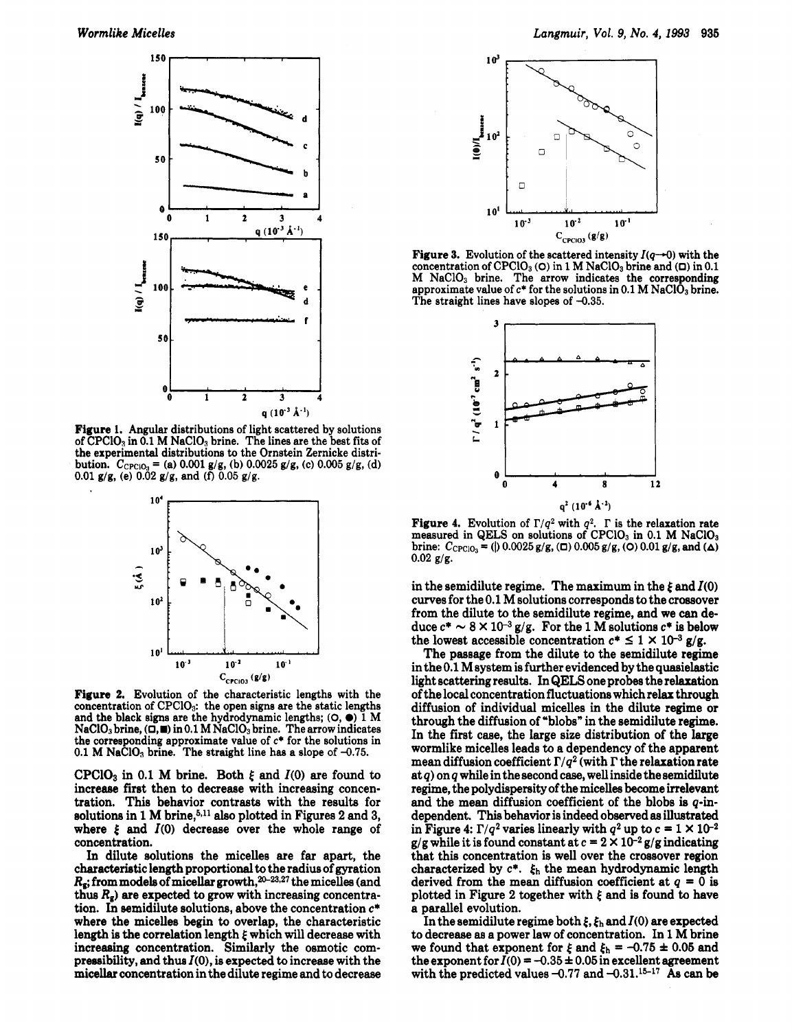

**Figure 1.** Angular distributions of light scattered by solutions of CPClOa in **0.1** M NaClOa brine. The lines are the best **fits** of the experimental distributions to the Ornstein Zernicke distri**bution.**  $C_{\text{CPC}10_3} = (a) 0.001 g/g, (b) 0.0025 g/g, (c) 0.005 g/g, (d)$ **0.01** gig, (e) **0.02** g/g, and *(0* **0.05** g/g.



**Figure 2.** Evolution of the characteristic lengths with the concentration of CPC103: the open signs are the static lengths and the black signs are the hydrodynamic lengths; *(0,O)* **1** M NaClOs brine, **(0,m)** in **0.1** M NaC103 brine. The arrow indicates the corresponding approximate value of *c\** for the solutions in 0.1 **M** NaClO<sub>3</sub> brine. The straight line has a slope of  $-0.75$ .

CPC10<sub>3</sub> in 0.1 M brine. Both  $\xi$  and  $I(0)$  are found to increase first then to decrease with increasing concentration. This behavior contrasts with the results for solutions in 1 M brine,<sup>5,11</sup> also plotted in Figures 2 and 3, where  $\xi$  and  $I(0)$  decrease over the whole range of concentration.

**In** dilute solutions the micelles are far apart, the characteristic length proportional to the radius of gyration  $R_{\rm s}$ ; from models of micellar growth,  $20-23.27$  the micelles (and thus  $R_{\rm g}$ ) are expected to grow with increasing concentration. In semidilute solutions, above the concentration **c\***  where the micelles begin to overlap, the characteristic length is the correlation length *f'* which will decrease with increasing concentration. Similarly the osmotic compressibility, and thus *I(O),* is expected to increase with the micellar concentration in the dilute regime and to decrease



**Figure 3.** Evolution of the scattered intensity  $I(q\rightarrow 0)$  with the concentration of CPC103 *(0)* in **1** M NaClO3 brine and *(0)* in **0.1**  M NaC103 brine. The arrow indicates the corresponding approximate value of  $c^*$  for the solutions in 0.1 M NaClO<sub>3</sub> brine. The straight lines have slopes of **-0.35.** 



**Figure 4.** Evolution of  $\Gamma/q^2$  with  $q^2$ .  $\Gamma$  is the relaxation rate measured in QELS on solutions of CPClO<sub>3</sub> in 0.1 M NaClO<sub>3</sub>  $\text{brine: } C_{\text{CPCIO}_3} = (0.0025 \text{ g/g}, (\Box) 0.005 \text{ g/g}, (\mathbf{O}) 0.01 \text{ g/g}, \text{and } (\Delta)$  $0.02$   $g/g$ .

in the semidilute regime. The maximum in the  $\xi$  and  $I(0)$ curves for the 0.1 M solutions corresponds to the crossover from the dilute to the semidilute regime, and we can deduce  $c^* \sim 8 \times 10^{-3}$  g/g. For the 1 M solutions  $c^*$  is below duce  $c^* \sim 8 \times 10^{-3}$  g/g. For the 1 M solutions  $c^*$  is below the lowest accessible concentration  $c^* \le 1 \times 10^{-3}$  g/g.

The passage from the dilute to the semidilute regime in the  $0.1$  M system is further evidenced by the quasielastic light scattering results. In **QELS** one probes the relaxation of the local concentration fluctuations which relax through diffusion of individual micelles in the dilute regime or through the diffusion of "blobs" in the semidilute regime. In the first case, the large size distribution of the large wormlike micelles leads to a dependency of the apparent mean diffusion coefficient  $\Gamma/q^2$  (with  $\Gamma$  the relaxation rate at *q)* on *q* while in the second case, well inside the semidilute regime, the polydispersity of the micelles become irrelevant and the mean diffusion coefficient of the blobs is **q-in**dependent. This behavior is indeed observed **as** illustrated in Figure 4:  $\Gamma/q^2$  varies linearly with  $q^2$  up to  $c = 1 \times 10^{-2}$ g/g while it is found constant at  $c = 2 \times 10^{-2}$  g/g indicating that this concentration is well over the crossover region characterized by  $c^*$ .  $\xi_h$  the mean hydrodynamic length derived from the mean diffusion coefficient at *q* = 0 is plotted in Figure **2** together with *f'* and is found to have a parallel evolution.

In the semidilute regime both  $\xi$ ,  $\xi_h$  and  $I(0)$  are expected to decrease **as** a power law of concentration. In 1 M brine we found that exponent for  $\xi$  and  $\xi_h = -0.75 \pm 0.05$  and the exponent for  $I(0) = -0.35 \pm 0.05$  in excellent agreement with the predicted values  $-0.77$  and  $-0.31$ .<sup>15-17</sup> As can be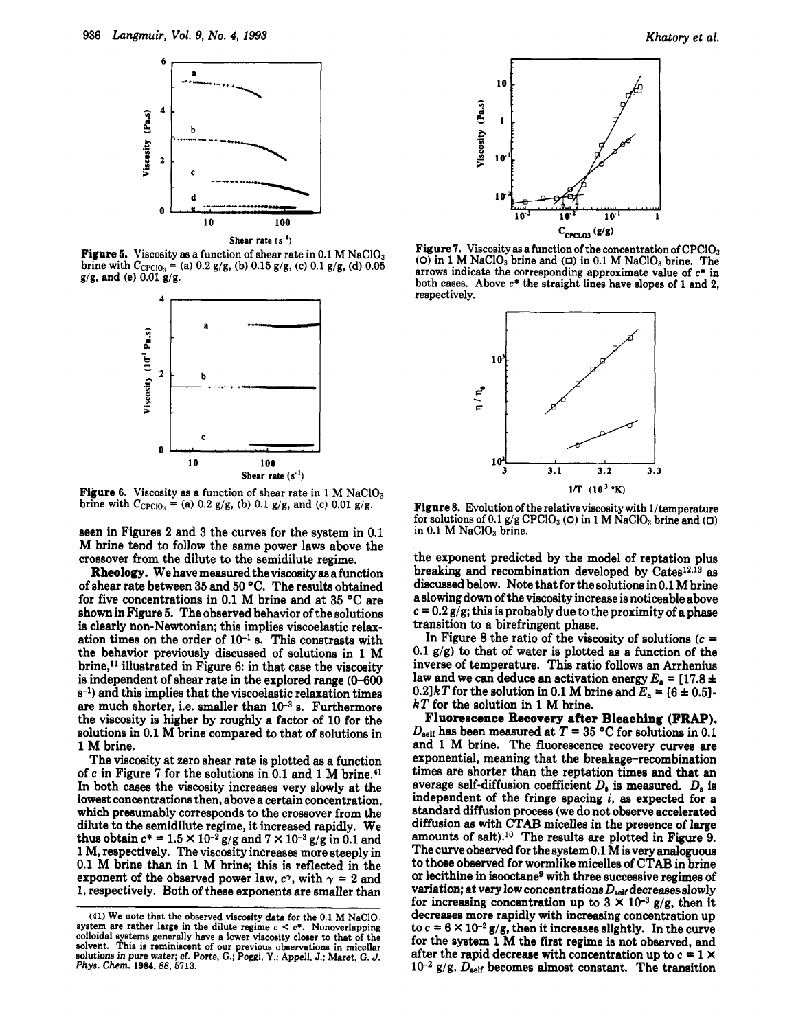

**Figure 5.** Viscosity as a function of shear rate in 0.1 M NaClO<sub>3</sub> **brine with**  $C_{\text{CPC1O}_3}$  **= (a) 0.2 g/g, (b) 0.15 g/g, (c) 0.1 g/g, (d) 0.05 g/g, and (e) 0.01 g/g.** 



Figure 6. Viscosity as a function of shear rate in 1 M NaClO<sub>3</sub> brine with  $C_{\text{CPCIO}_3}$  = (a) 0.2 g/g, (b) 0.1 g/g, and (c) 0.01 g/g.

seen in Figures **2** and **3** the curves for the system in 0.1 M brine tend to follow the same power laws above the crossover from the dilute to the semidilute regime.

**Rheology.** We have measured the viscosity **as** a function of shear rate between **35** and **50** "C. The results obtained for five concentrations in 0.1 M brine and at **35** "C are shown in Figure **5.** The observed behavior of the solutions is clearly non-Newtonian; this implies viscoelastic relaxation times on the order of 10-' **s.** This constrasts with the behavior previously discussed of solutions in 1 M  $\rm{brine}$ ,<sup>11</sup> illustrated in Figure 6: in that case the viscosity is independent of shear rate in the explored range *(0-600*   $s^{-1}$ ) and this implies that the viscoelastic relaxation times are much shorter, i.e. smaller than  $10^{-3}$  s. Furthermore the viscosity is higher by roughly a factor of 10 for the solutions in 0.1 M brine compared to that of solutions in 1 **M** brine.

The viscosity at zero shear rate is plotted **as a** function of **c** in Figure 7 for the solutions in 0.1 and 1 M brine.41 In both cases the viscosity increases very slowly at the lowest concentrations then, above a certain concentration, which presumably corresponds to the crossover from the dilute to the semidilute regime, it increased rapidly. We thus obtain  $c^* = 1.5 \times 10^{-2}$  g/g and  $7 \times 10^{-3}$  g/g in 0.1 and 1 M, respectively. The viscosity increases more steeply in 0.1 **M** brine than in 1 M brine; this is reflected in the exponent of the observed power law,  $c^{\gamma}$ , with  $\gamma = 2$  and 1, respectively. Both of these exponents are smaller than



Figure **7. Viscosity as a function of the concentration of CPC103**   $(0)$  in 1 M NaClO<sub>3</sub> brine and  $(0)$  in 0.1 M NaClO<sub>3</sub> brine. The **arrows indicate the corresponding approximate value of c\* in both cases. Above c\* the straight lines have slopes of 1 and 2, respectively.** 



Figure **8. Evolution of the relative viscosity with l/temperature**  for solutions of 0.1  $g/g$  CPClO<sub>3</sub> (0) in 1 **M** NaClO<sub>3</sub> brine and  $(D)$ in 0.1 M NaClO<sub>3</sub> brine.

the exponent predicted by the model of reptation plus breaking and recombination developed by Cates<sup>12,13</sup> as discussed below. Note that for the solutions in 0.1 M brine a slowing down of the viscosity increase is noticeable above  $c = 0.2 g/g$ ; this is probably due to the proximity of a phase transition to a birefringent phase.

In Figure 8 the ratio of the viscosity of solutions **(c** = 0.1 g/g) to that of water is plotted **as** a function of the inverse of temperature. This ratio follows an Arrhenius law and we can deduce an activation energy  $E_a = [17.8 \pm 10^{19}]$ 0.2] $kT$  for the solution in 0.1 M brine and  $E_a = [6 \pm 0.5]$ *kT* for the solution in 1 M brine.

**Fluorescence Recovery** after **Bleaching (FRAP).**   $D_{\text{self}}$  has been measured at  $T = 35$  °C for solutions in 0.1 and 1 M brine. The fluorescence recovery curves are exponential, meaning that the breakage-recombination times are shorter than the reptation times and that an average self-diffusion coefficient  $D_s$  is measured.  $D_s$  is independent of the fringe spacing *i,* **as** expected for a standard diffusion process (we do not observe accelerated diffusion **as** with CTAB micelles in the presence of large amounts of salt).1° The results are plotted in Figure **9.**  The curve observed for the system 0.1 M is very analoguous to those observed for wormlike micelles of CTAB in brine or lecithine in isooctane<sup>9</sup> with three successive regimes of variation; at very low concentrations  $D_{\text{self}}$  decreases slowly for increasing concentration up to  $3 \times 10^{-3}$  g/g, then it decreases more rapidly with increasing concentration up to  $c = 6 \times 10^{-2}$  g/g, then it increases slightly. In the curve for the system 1 M the first regime is not observed, and after the rapid decrease with concentration up to  $c = 1 \times$  $10^{-2}$  g/g,  $D_{\text{self}}$  becomes almost constant. The transition

**<sup>(41)</sup> We note that the observed viscosity data for the 0.1 M NaClO.,**  system are rather large in the dilute regime  $c < c^*$ . Nonoverlapping **colloidal systems generally have a lower Viscosity closer to that of the solvent. This is reminiscent** of **our previous observations in micellar solutione in pure water; cf. Porte,** *G.;* **Poggi, Y.; Appell, J.; Maret,** *G. J. Phys. Chem.* **1984,88,5713.**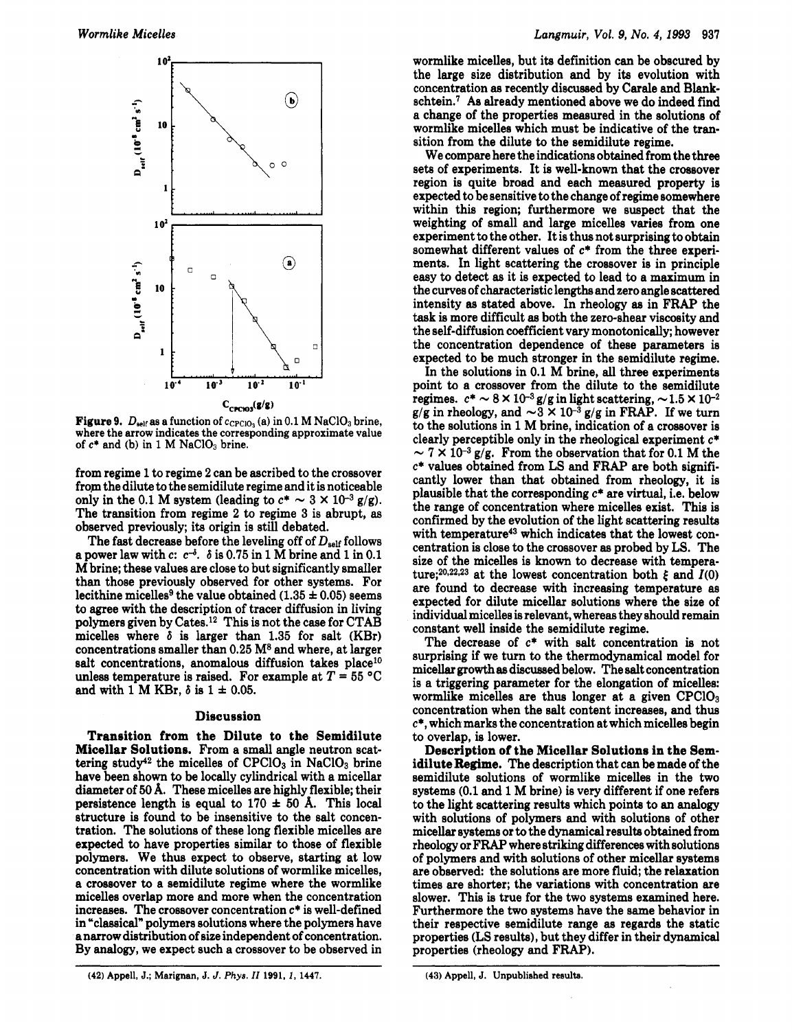

**Figure 9.**  $D_{\text{self}}$  as a function of  $c_{\text{CPCIO}_3}$  (a) in 0.1 M NaClO<sub>3</sub> brine, where the arrow indicates the corresponding approximate value of  $c^*$  and (b) in 1 M NaClO<sub>3</sub> brine.

from regime 1 to regime **2** can be ascribed to the crossover from the dilute to the semidilute regime and it is noticeable only in the 0.1 M system (leading to  $c^* \sim 3 \times 10^{-3}$  g/g). The transition from regime **2** to regime 3 is abrupt, **as**  observed previously; its origin is still debated.

The fast decrease before the leveling off of  $D_{\text{self}}$  follows a power law with  $c: c^{-\delta}$ .  $\delta$  is 0.75 in 1 M brine and 1 in 0.1 **M** brine; these values are close to but significantly smaller than those previously observed for other systems. For lecithine micelles<sup>9</sup> the value obtained  $(1.35 \pm 0.05)$  seems **to** agree with the description of tracer diffusion in living polymers given by Cates.12 This is not the case for CTAB micelles where  $\delta$  is larger than 1.35 for salt (KBr) concentrations smaller than **0.25 M8** and where, at larger salt concentrations, anomalous diffusion takes place<sup>10</sup> unless temperature is raised. For example at  $T = 55 \text{ °C}$ and with 1 M KBr,  $\delta$  is  $1 \pm 0.05$ .

## **Discussion**

**Transition from the Dilute to the Semidilute Micellar Solutions.** From a small angle neutron scattering study<sup>42</sup> the micelles of  $CPCIO<sub>3</sub>$  in NaClO<sub>3</sub> brine have been shown to be locally cylindrical with a micellar diameter of 50 **A.** These micelles are highly flexible; their persistence length is equal to  $170 \pm 50$  Å. This local structure is found to be insensitive to the salt concentration. The solutions of these long flexible micelles are expected to have properties similar to those of flexible polymers. We thus expect to observe, starting at low concentration with dilute solutions of wormlike micelles, a crossover to a semidilute regime where the wormlike micelles overlap more and more when the concentration increases. The crossover concentration **c\*** is well-defined in "classical" polymers solutions where the polymers have a narrow distribution of size independent of concentration. By analogy, we expect such a crossover to be observed in wormlike micelles, but its definition can be obscured by the large size distribution and by its evolution with concentration **as** recently discussed by Carale and **Blank**schtein.' As already mentioned above we do indeed find a change of the properties measured in the solutions of wormlike micelles which must be indicative of the transition from the dilute to the semidilute regime.

We compare here the indications obtained from the three sets of experiments. It is well-known that the crossover region is quite broad and each measured property is expected to be sensitive to the change of regime somewhere within this region; furthermore we suspect that the weighting of small and large micelles varies from one experiment to the other. It is thus not surprising to obtain somewhat different values of *c\** from the three experiments. In light scattering the crossover is in principle easy to detect **as** it is expected to lead to a maximum in the curves of characteristic lengths and zero angle scattered intensity **as** stated above. In rheology **as** in FRAP the task is more difficult **as** both the zero-shear viscosity and the self-diffusion coefficient vary monotonically; however the concentration dependence of these parameters is expected to be much stronger in the semidilute regime.

In the solutions in 0.1 M brine, all three experiments point to a crossover from the dilute to the semidilute point to a crossover from the dilute to the semidilute regimes.  $c^* \sim 8 \times 10^{-3} g/g$  in light scattering,  $\sim 1.5 \times 10^{-2} g/g$  in rheology, and  $\sim 3 \times 10^{-3} g/g$  in FRAP. If we turn to the solutions in 1 M brine, indication of a crossover is clearly perceptible only in the rheological experiment **c\***   $\sim$  7  $\times$  10<sup>-3</sup> g/g. From the observation that for 0.1 M the *c\** values obtained from LS and FRAP are both significantly lower than that obtained from rheology, it is plausible that the corresponding *c\** are virtual, i.e. below the range of concentration where micelles exist. This is confirmed by the evolution of the light scattering results with temperature<sup>43</sup> which indicates that the lowest concentration is close to the crossover **as** probed by LS. The size of the micelles is known to decrease with temperature:<sup>20,22,23</sup> at the lowest concentration both  $\xi$  and  $I(0)$ are found to decrease with increasing temperature **as**  expected for dilute micellar solutions where the size of individual micelles is relevant, whereas they should remain constant well inside the semidilute regime.

The decrease of **c\*** with salt concentration is not surprising if we turn to the thermodynamical model for micellar growth **as** discussed below. The salt concentration is a triggering parameter for the elongation of micelles: wormlike micelles are thus longer at a given  $CPCIO<sub>3</sub>$ concentration when the salt content increases, and thus **c\*,** which marks the concentration at which micelles begin to overlap, is lower.

**Description of the Micellar Solutions in the Semidilute Regime.** The description that can be made of the semidilute solutions of wormlike micelles in the two systems (0.1 and 1 **M** brine) is very different if one refers to the light scattering results which points to an analogy with solutions of polymers and with solutions of other micellar systems or to the dynamical results obtained from rheology or FRAP where striking differences with solutions of polymers and with solutions of other micellar systems are observed: the solutions are more fluid; the relaxation times are shorter; the variations with concentration are slower. This is true for the two systems examined here. Furthermore the two systems have the same behavior in their respective semidilute range **as** regards the static properties (LS results), but they differ in their dynamical properties (rheology and FRAP).

**(43) Appell,** J. **Unpublished results.** 

<sup>(42)</sup> **Appell,** J.; **Marignan, J.** *J. Phys. II* **1991,** *1,* **1447.**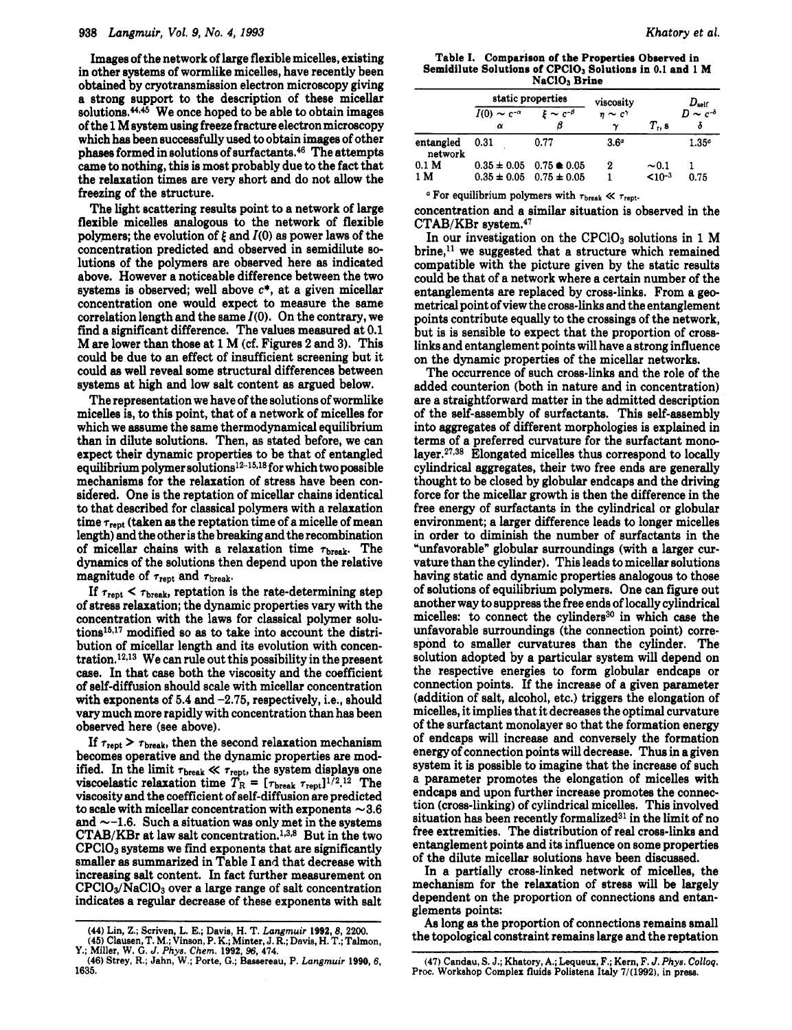## **938** *Langmuir, Vol. 9, No. 4, 1993*

Images of the network of large flexible micelles, existing in other systems of wormlike micelles, have recently been obtained by cryotransmisaion electron microscopy giving a strong support to the description of these micellar solutions. $44,45$  We once hoped to be able to obtain images of the **1** M system using freeze fracture electron microscopy which has been successfully used to obtain images of other phases formed in solutions of surfactants. $46$  The attempts came to nothing, this is most probably due to the fact that the relaxation times are very short and do not allow the freezing of the structure.

The light scattering results point to a network of large flexible micelles analogous to the network of flexible polymers; the evolution of  $\xi$  and  $I(0)$  as power laws of the concentration predicted and observed in semidilute **so**lutions of the polymers are observed here **as** indicated above. However a noticeable difference between the two systems is observed; well above **c\*,** at a given micellar concentration one would expect to measure the same correlation length and the same *I(0).* On the contrary, we find a significant difference. The values measured at 0.1 M are lower than those at 1 M (cf. Figures **2** and **3).** This could be due to an effect of insufficient screening but it could **as** well reveal some structural differences between systems at high and low salt content as argued below.

The representation we have of the solutions of wormlike micelles is, to this point, that of a network of micelles for which we assume the same thermodynamical equilibrium than in dilute solutions. Then, **as** stated before, we can expect their dynamic properties to be that of entangled equilibrium polymer solutions<sup>12-15,18</sup> for which two possible mechanisms for the relaxation of stress have been considered. One is the reptation of micellar chains identical to that described for classical polymers with a relaxation time  $\tau_{\text{rent}}$  (taken as the reptation time of a micelle of mean length) and the other is the breaking and the recombination of micellar chains with a relaxation time  $\tau_{\text{break}}$ . The dynamics of the solutions then depend upon the relative magnitude of  $\tau_{\text{rept}}$  and  $\tau_{\text{break}}$ .

If  $\tau_{\text{rept}} < \tau_{\text{break}}$ , reptation is the rate-determining step of stress relaxation; the dynamic properties vary with the concentration with the laws for classical polymer solutions15J7 modified so **as** to take **into** account the distribution of micellar length and its evolution with concentration.<sup>12,13</sup> We can rule out this possibility in the present case. In that case both the viscosity and the coefficient of self-diffusion should scale with micellar concentration with exponents of 5.4 and -2.75, respectively, i.e., should vary much more rapidly with concentration than has been observed here (see above).

If  $\tau_{\rm{rept}} > \tau_{\rm{break}}$ , then the second relaxation mechanism becomes operative and the dynamic properties are modified. In the limit  $\tau_{\text{break}} \ll \tau_{\text{rept}}$ , the system displays one viscoelastic relaxation time  $T_R = [\tau_{break} \ \tau_{rept}]^{1/2}$ .<sup>12</sup> The Viscosity and the coefficient of self-diffusion are predicted to scale with micellar concentration with exponents  $\sim$  3.6 and  $\sim$ -1.6. Such a situation was only met in the systems  $CTAB/KBr$  at law salt concentration.<sup>1,3,8</sup> But in the two  $CPCIO<sub>3</sub>$  systems we find exponents that are significantly smaller **as** summarized in Table **1** and that decrease with increasing salt content. In fact further measurement on  $CPCIO<sub>3</sub>/NaClO<sub>3</sub>$  over a large range of salt concentration indicates a regular decrease of these exponents with salt

**Table I. Comparison of the Properties Observed in**  Semidilute Solutions of CPCIO<sub>3</sub> Solutions in 0.1 and 1 M **NaClO3 Brine** 

|                      | static properties            |                                                       | viscosity                          |                           | $D_{\rm self}$            |
|----------------------|------------------------------|-------------------------------------------------------|------------------------------------|---------------------------|---------------------------|
|                      | $I(0) \sim c^{-\alpha}$<br>α | $\varepsilon \sim c^{-\beta}$<br>В                    | $n \sim c^{\gamma}$<br>$\mathbf v$ | $T_{\cdot}$ s             | $D \sim c^{-\delta}$<br>δ |
| entangled<br>network | 0.31                         | 0.77                                                  | 3.6 <sup>a</sup>                   |                           | 1.35 <sup>a</sup>         |
| 0.1 M<br>1 M         | $0.35 \pm 0.05$              | $0.75 \oplus 0.05$<br>$0.35 \pm 0.05$ $0.75 \pm 0.05$ | 2                                  | $\sim 0.1$<br>$< 10^{-3}$ | 0.75                      |

 $\sigma$  For equilibrium polymers with  $\tau_{\text{break}} \ll \tau_{\text{rept}}$ .

concentration and a similar situation is observed in the CTAB/KBr system.47

In our investigation on the  $CPC1O<sub>3</sub>$  solutions in 1 M brine, $^{11}$  we suggested that a structure which remained compatible with the picture given by the static results could be that of a network where a certain number of the entanglements are replaced by cross-links. From a geometrical point of view the cross-links and the entanglement points contribute equally to the crossings of the network, but is is sensible to expect that the proportion of crosslinks and entanglement points will have a strong influence on the dynamic properties of the micellar networks.

The occurrence of such cross-links and the role of the added counterion (both in nature and in concentration) are a straightforward matter in the admitted description of the self-assembly of surfactants. This self-assembly into aggregates of different morphologies is explained in terms of a preferred curvature for the surfactant monolayer.27.38 Elongated micelles thus correspond to locally cylindrical aggregates, their two free ends are generally thought to be closed by globular endcaps and the driving force for the micellar growth is then the difference in the free energy of surfactants in the cylindrical or globular environment; a larger difference leads to longer micelles in order to diminish the number of surfactants in the "unfavorable" globular surroundings (with a larger curvature than the cylinder). This leads to micellar solutions having static and dynamic properties analogous to those of solutions of equilibrium polymers. One can figure out another way to suppress the free ends of locally cylindrical micelles: to connect the cylinders<sup>30</sup> in which case the unfavorable surroundings (the connection point) correspond to smaller curvatures than the cylinder. The solution adopted by a particular system will depend on the respective energies to form globular endcaps or connection points. If the increase of a given parameter (addition of salt, alcohol, etc.) triggers the elongation of micelles, it implies that it decreases the optimal curvature of the surfactant monolayer so that the formation energy of endcaps will increase and conversely the formation energy of connection points will decrease. Thus in a given system it is possible to imagine that the increase of such a parameter promotes the elongation of micelles with endcaps and upon further increase promotea the connection (cross-linking) of cylindrical micelles. This involved situation has been recently formalized<sup>31</sup> in the limit of no free extremities. The distribution of real cross-links and entanglement points and its influence on some properties of the dilute micellar solutions have been discussed.

In a partially cross-linked network of micelles, the mechanism for the relaxation of stress will be largely dependent on the proportion of connections and entanglements points:

*As* long **as** the proportion of connections remains small the topological constraint remains large and the reptation

**<sup>(44)</sup> Lin, Z.; Scriven, L. E.; Davis, H. T.** *Longmuir* **1992,8, 2200. (45) Clausen, T. M.; Vinson, P. K.; Minter, J. R.; Davis, H. T.; Talmon,** 

**<sup>(46)</sup> Strey, R.; Jahn, W.; Porte,** *G.;* **Baseereau, P.** *Longmuir* **1990,6, Y.; Miller, W.** *G. J. Phys. Chem.* **1992,96,474.** 

**<sup>1635.</sup>** 

**<sup>(47)</sup> Candau, S. J.; Khatory, A,; Lequeur, F.; Kern, F.** *J. Phys. Colloq.*  **Proc. Workshop Complex fluids Polistena Italy 7/(1992), in prese.**